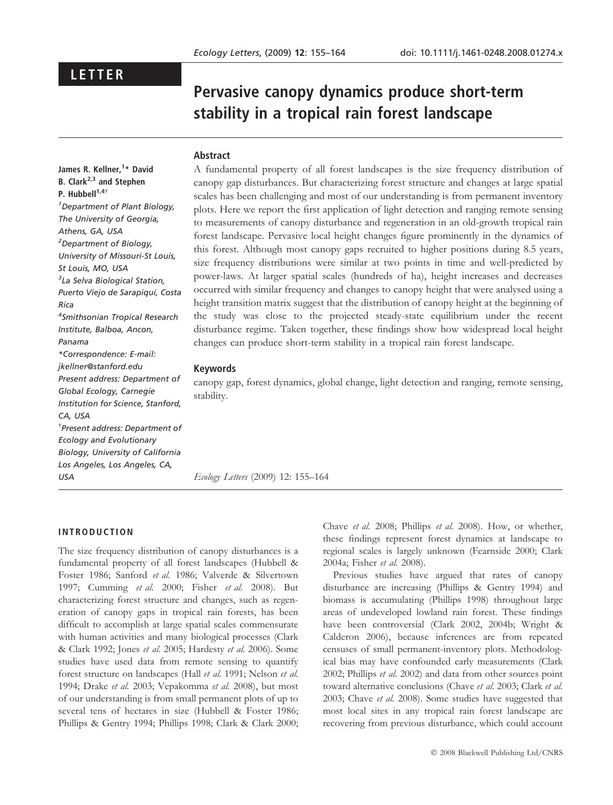## LETTER

# Pervasive canopy dynamics produce short-term stability in a tropical rain forest landscape

#### Abstract

James R. Kellner,<sup>1</sup>\* David B. Clark $^{2,3}$  and Stephen P. Hubbell $^{1,4\dagger}$ 1 Department of Plant Biology, The University of Georgia, Athens, GA, USA <sup>2</sup>Department of Biology, University of Missouri-St Louis, St Louis, MO, USA 3 La Selva Biological Station, Puerto Viejo de Sarapiquí, Costa Rica 4 Smithsonian Tropical Research Institute, Balboa, Ancon, Panama \*Correspondence: E-mail: jkellner@stanford.edu Present address: Department of Global Ecology, Carnegie Institution for Science, Stanford, CA, USA - Present address: Department of Ecology and Evolutionary Biology, University of California Los Angeles, Los Angeles, CA, USA

A fundamental property of all forest landscapes is the size frequency distribution of canopy gap disturbances. But characterizing forest structure and changes at large spatial scales has been challenging and most of our understanding is from permanent inventory plots. Here we report the first application of light detection and ranging remote sensing to measurements of canopy disturbance and regeneration in an old-growth tropical rain forest landscape. Pervasive local height changes figure prominently in the dynamics of this forest. Although most canopy gaps recruited to higher positions during 8.5 years, size frequency distributions were similar at two points in time and well-predicted by power-laws. At larger spatial scales (hundreds of ha), height increases and decreases occurred with similar frequency and changes to canopy height that were analysed using a height transition matrix suggest that the distribution of canopy height at the beginning of the study was close to the projected steady-state equilibrium under the recent disturbance regime. Taken together, these findings show how widespread local height changes can produce short-term stability in a tropical rain forest landscape.

#### Keywords

canopy gap, forest dynamics, global change, light detection and ranging, remote sensing, stability.

Ecology Letters (2009) 12: 155–164

#### INTRODUCTION

The size frequency distribution of canopy disturbances is a fundamental property of all forest landscapes (Hubbell & Foster 1986; Sanford et al. 1986; Valverde & Silvertown 1997; Cumming et al. 2000; Fisher et al. 2008). But characterizing forest structure and changes, such as regeneration of canopy gaps in tropical rain forests, has been difficult to accomplish at large spatial scales commensurate with human activities and many biological processes (Clark & Clark 1992; Jones et al. 2005; Hardesty et al. 2006). Some studies have used data from remote sensing to quantify forest structure on landscapes (Hall et al. 1991; Nelson et al. 1994; Drake et al. 2003; Vepakomma et al. 2008), but most of our understanding is from small permanent plots of up to several tens of hectares in size (Hubbell & Foster 1986; Phillips & Gentry 1994; Phillips 1998; Clark & Clark 2000; Chave et al. 2008; Phillips et al. 2008). How, or whether, these findings represent forest dynamics at landscape to regional scales is largely unknown (Fearnside 2000; Clark 2004a; Fisher et al. 2008).

Previous studies have argued that rates of canopy disturbance are increasing (Phillips & Gentry 1994) and biomass is accumulating (Phillips 1998) throughout large areas of undeveloped lowland rain forest. These findings have been controversial (Clark 2002, 2004b; Wright & Calderon 2006), because inferences are from repeated censuses of small permanent-inventory plots. Methodological bias may have confounded early measurements (Clark 2002; Phillips et al. 2002) and data from other sources point toward alternative conclusions (Chave et al. 2003; Clark et al. 2003; Chave et al. 2008). Some studies have suggested that most local sites in any tropical rain forest landscape are recovering from previous disturbance, which could account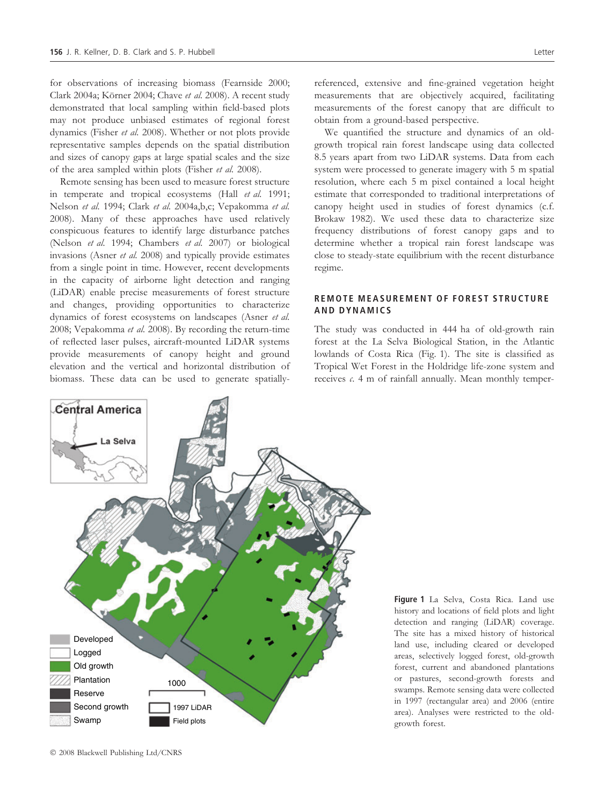for observations of increasing biomass (Fearnside 2000; Clark 2004a; Körner 2004; Chave et al. 2008). A recent study demonstrated that local sampling within field-based plots may not produce unbiased estimates of regional forest dynamics (Fisher et al. 2008). Whether or not plots provide representative samples depends on the spatial distribution and sizes of canopy gaps at large spatial scales and the size of the area sampled within plots (Fisher et al. 2008).

Remote sensing has been used to measure forest structure in temperate and tropical ecosystems (Hall et al. 1991; Nelson et al. 1994; Clark et al. 2004a,b,c; Vepakomma et al. 2008). Many of these approaches have used relatively conspicuous features to identify large disturbance patches (Nelson et al. 1994; Chambers et al. 2007) or biological invasions (Asner et al. 2008) and typically provide estimates from a single point in time. However, recent developments in the capacity of airborne light detection and ranging (LiDAR) enable precise measurements of forest structure and changes, providing opportunities to characterize dynamics of forest ecosystems on landscapes (Asner et al. 2008; Vepakomma et al. 2008). By recording the return-time of reflected laser pulses, aircraft-mounted LiDAR systems provide measurements of canopy height and ground elevation and the vertical and horizontal distribution of biomass. These data can be used to generate spatiallyreferenced, extensive and fine-grained vegetation height measurements that are objectively acquired, facilitating measurements of the forest canopy that are difficult to obtain from a ground-based perspective.

We quantified the structure and dynamics of an oldgrowth tropical rain forest landscape using data collected 8.5 years apart from two LiDAR systems. Data from each system were processed to generate imagery with 5 m spatial resolution, where each 5 m pixel contained a local height estimate that corresponded to traditional interpretations of canopy height used in studies of forest dynamics (c.f. Brokaw 1982). We used these data to characterize size frequency distributions of forest canopy gaps and to determine whether a tropical rain forest landscape was close to steady-state equilibrium with the recent disturbance regime.

#### REMOTE MEASUREMENT OF FOREST STRUCTURE AND DYNAMICS

The study was conducted in 444 ha of old-growth rain forest at the La Selva Biological Station, in the Atlantic lowlands of Costa Rica (Fig. 1). The site is classified as Tropical Wet Forest in the Holdridge life-zone system and receives  $c$ . 4 m of rainfall annually. Mean monthly temper-



Figure 1 La Selva, Costa Rica. Land use history and locations of field plots and light detection and ranging (LiDAR) coverage. The site has a mixed history of historical land use, including cleared or developed areas, selectively logged forest, old-growth forest, current and abandoned plantations or pastures, second-growth forests and swamps. Remote sensing data were collected in 1997 (rectangular area) and 2006 (entire area). Analyses were restricted to the oldgrowth forest.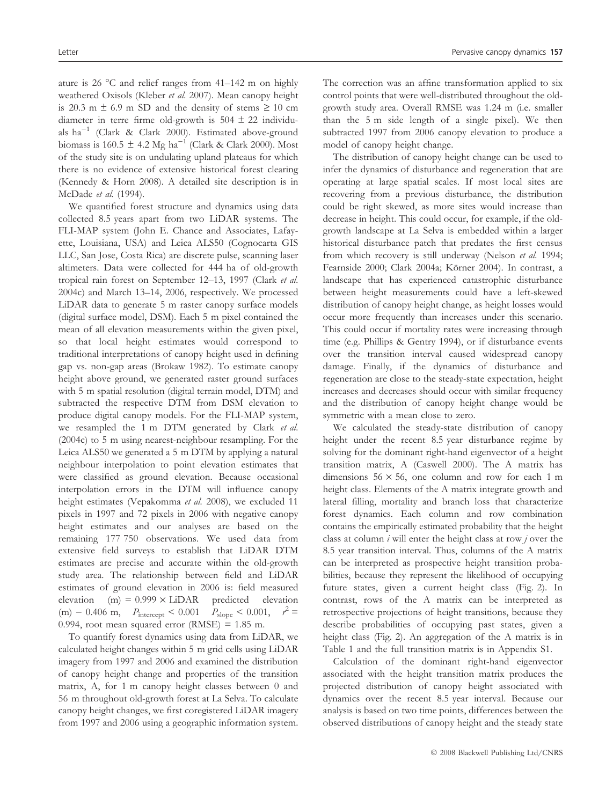ature is 26  $^{\circ}$ C and relief ranges from 41–142 m on highly weathered Oxisols (Kleber et al. 2007). Mean canopy height is 20.3 m  $\pm$  6.9 m SD and the density of stems  $\geq$  10 cm diameter in terre firme old-growth is  $504 \pm 22$  individuals ha<sup>-1</sup> (Clark & Clark 2000). Estimated above-ground biomass is 160.5  $\pm$  4.2 Mg ha<sup>-1</sup> (Clark & Clark 2000). Most of the study site is on undulating upland plateaus for which there is no evidence of extensive historical forest clearing (Kennedy & Horn 2008). A detailed site description is in McDade et al. (1994).

We quantified forest structure and dynamics using data collected 8.5 years apart from two LiDAR systems. The FLI-MAP system (John E. Chance and Associates, Lafayette, Louisiana, USA) and Leica ALS50 (Cognocarta GIS LLC, San Jose, Costa Rica) are discrete pulse, scanning laser altimeters. Data were collected for 444 ha of old-growth tropical rain forest on September 12–13, 1997 (Clark et al. 2004c) and March 13–14, 2006, respectively. We processed LiDAR data to generate 5 m raster canopy surface models (digital surface model, DSM). Each 5 m pixel contained the mean of all elevation measurements within the given pixel, so that local height estimates would correspond to traditional interpretations of canopy height used in defining gap vs. non-gap areas (Brokaw 1982). To estimate canopy height above ground, we generated raster ground surfaces with 5 m spatial resolution (digital terrain model, DTM) and subtracted the respective DTM from DSM elevation to produce digital canopy models. For the FLI-MAP system, we resampled the 1 m DTM generated by Clark et al. (2004c) to 5 m using nearest-neighbour resampling. For the Leica ALS50 we generated a 5 m DTM by applying a natural neighbour interpolation to point elevation estimates that were classified as ground elevation. Because occasional interpolation errors in the DTM will influence canopy height estimates (Vepakomma et al. 2008), we excluded 11 pixels in 1997 and 72 pixels in 2006 with negative canopy height estimates and our analyses are based on the remaining 177 750 observations. We used data from extensive field surveys to establish that LiDAR DTM estimates are precise and accurate within the old-growth study area. The relationship between field and LiDAR estimates of ground elevation in 2006 is: field measured elevation (m) =  $0.999 \times$  LiDAR predicted elevation (m) – 0.406 m,  $P_{\text{intercept}} < 0.001$   $P_{\text{slope}} < 0.001$ ,  $r^2 =$ 0.994, root mean squared error (RMSE) =  $1.85$  m.

To quantify forest dynamics using data from LiDAR, we calculated height changes within 5 m grid cells using LiDAR imagery from 1997 and 2006 and examined the distribution of canopy height change and properties of the transition matrix, A, for 1 m canopy height classes between 0 and 56 m throughout old-growth forest at La Selva. To calculate canopy height changes, we first coregistered LiDAR imagery from 1997 and 2006 using a geographic information system.

The correction was an affine transformation applied to six control points that were well-distributed throughout the oldgrowth study area. Overall RMSE was 1.24 m (i.e. smaller than the 5 m side length of a single pixel). We then subtracted 1997 from 2006 canopy elevation to produce a model of canopy height change.

The distribution of canopy height change can be used to infer the dynamics of disturbance and regeneration that are operating at large spatial scales. If most local sites are recovering from a previous disturbance, the distribution could be right skewed, as more sites would increase than decrease in height. This could occur, for example, if the oldgrowth landscape at La Selva is embedded within a larger historical disturbance patch that predates the first census from which recovery is still underway (Nelson et al. 1994; Fearnside 2000; Clark 2004a; Körner 2004). In contrast, a landscape that has experienced catastrophic disturbance between height measurements could have a left-skewed distribution of canopy height change, as height losses would occur more frequently than increases under this scenario. This could occur if mortality rates were increasing through time (e.g. Phillips & Gentry 1994), or if disturbance events over the transition interval caused widespread canopy damage. Finally, if the dynamics of disturbance and regeneration are close to the steady-state expectation, height increases and decreases should occur with similar frequency and the distribution of canopy height change would be symmetric with a mean close to zero.

We calculated the steady-state distribution of canopy height under the recent 8.5 year disturbance regime by solving for the dominant right-hand eigenvector of a height transition matrix, A (Caswell 2000). The A matrix has dimensions  $56 \times 56$ , one column and row for each 1 m height class. Elements of the A matrix integrate growth and lateral filling, mortality and branch loss that characterize forest dynamics. Each column and row combination contains the empirically estimated probability that the height class at column  $i$  will enter the height class at row  $j$  over the 8.5 year transition interval. Thus, columns of the A matrix can be interpreted as prospective height transition probabilities, because they represent the likelihood of occupying future states, given a current height class (Fig. 2). In contrast, rows of the A matrix can be interpreted as retrospective projections of height transitions, because they describe probabilities of occupying past states, given a height class (Fig. 2). An aggregation of the A matrix is in Table 1 and the full transition matrix is in Appendix S1.

Calculation of the dominant right-hand eigenvector associated with the height transition matrix produces the projected distribution of canopy height associated with dynamics over the recent 8.5 year interval. Because our analysis is based on two time points, differences between the observed distributions of canopy height and the steady state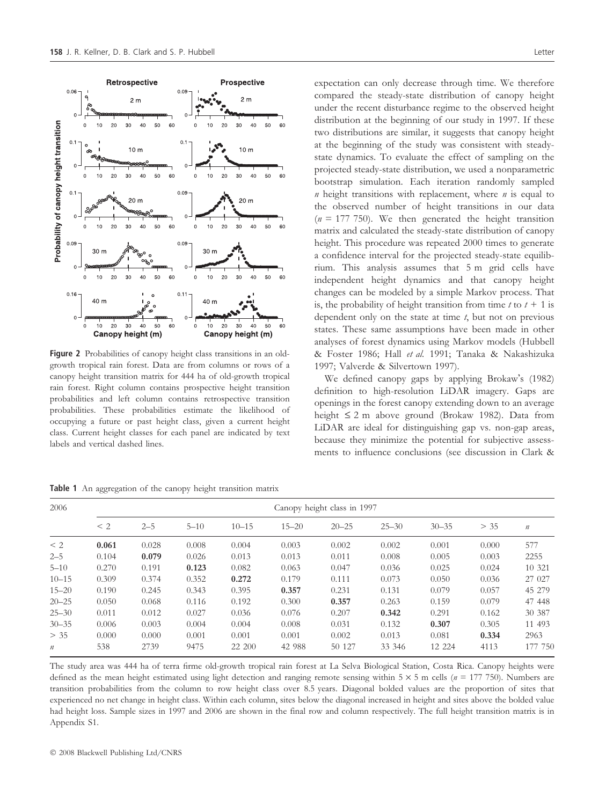Retrospective

 $2<sub>m</sub>$ 

 $0.06$ 

 $\circ$ 

Probability of canopy height transition



 $\overline{0}$  $10$  $20$ 30 40 50 60  $\Omega$  $10$  $20$ 30 40 50 60  $10<sub>m</sub>$  $10<sub>m</sub>$ œ.  $\overline{a}$  $\sqrt{2}$  $\Omega$  $10$ 20  $30^{\circ}$  $40$ 50 60  $\Omega$  $10$  $20$ 30  $40$ 50 60  $0.1$  $0.09$  $20<sub>m</sub>$  $20<sub>m</sub>$  $\Omega$  $\overline{a}$  $10$  $\overline{20}$ 50 60  $10$  $20$ 50 60  $\Omega$ 30  $40$  $\theta$  $30$  $40$  $0.09$  $0.09$ **Roador**  $30<sub>m</sub>$  $30<sub>m</sub>$  $\Omega$  $10$  $20$  $30^{\circ}$  $40$ 50 60  $10$  $20$ 50  $\Omega$  $\overline{0}$  $\overline{\mathcal{R}}$ 60  $0.16$  $0.1^{\circ}$  $\circ$ 40 m 40 m  $\Omega$  $10$  $20$  $30$  $50$  $\overline{30}$  $40$ 60  $\overline{0}$  $10$  $20$ 40  $50$ 60 Canopy height (m) Canopy height (m)

 $0.05$ 

Prospective

 $2<sub>m</sub>$ 

Figure 2 Probabilities of canopy height class transitions in an oldgrowth tropical rain forest. Data are from columns or rows of a canopy height transition matrix for 444 ha of old-growth tropical rain forest. Right column contains prospective height transition probabilities and left column contains retrospective transition probabilities. These probabilities estimate the likelihood of occupying a future or past height class, given a current height class. Current height classes for each panel are indicated by text labels and vertical dashed lines.

Table 1 An aggregation of the canopy height transition matrix

| expectation can only decrease through time. We therefore                                                                                              |
|-------------------------------------------------------------------------------------------------------------------------------------------------------|
| compared the steady-state distribution of canopy height                                                                                               |
| under the recent disturbance regime to the observed height                                                                                            |
| distribution at the beginning of our study in 1997. If these                                                                                          |
| two distributions are similar, it suggests that canopy height                                                                                         |
| at the beginning of the study was consistent with steady-                                                                                             |
| state dynamics. To evaluate the effect of sampling on the                                                                                             |
| projected steady-state distribution, we used a nonparametric                                                                                          |
| bootstrap simulation. Each iteration randomly sampled                                                                                                 |
| $n$ height transitions with replacement, where $n$ is equal to                                                                                        |
| the observed number of height transitions in our data                                                                                                 |
| $(n = 177 750)$ . We then generated the height transition                                                                                             |
| matrix and calculated the steady-state distribution of canopy                                                                                         |
| height. This procedure was repeated 2000 times to generate                                                                                            |
| a confidence interval for the projected steady-state equilib-                                                                                         |
| rium. This analysis assumes that 5 m grid cells have                                                                                                  |
| independent height dynamics and that canopy height                                                                                                    |
| changes can be modeled by a simple Markov process. That                                                                                               |
| is, the probability of height transition from time $t$ to $t + 1$ is                                                                                  |
| dependent only on the state at time $t$ , but not on previous                                                                                         |
| states. These same assumptions have been made in other                                                                                                |
| analyses of forest dynamics using Markov models (Hubbell                                                                                              |
| & Foster 1986; Hall et al. 1991; Tanaka & Nakashizuka                                                                                                 |
| 1997; Valverde & Silvertown 1997).<br>the contract of the contract of the contract of the contract of the contract of the contract of the contract of |
|                                                                                                                                                       |

We defined canopy gaps by applying Brokaw's (1982) definition to high-resolution LiDAR imagery. Gaps are openings in the forest canopy extending down to an average height  $\leq 2$  m above ground (Brokaw 1982). Data from LiDAR are ideal for distinguishing gap vs. non-gap areas, because they minimize the potential for subjective assessments to influence conclusions (see discussion in Clark &

| 2006             | Canopy height class in 1997 |         |          |           |           |           |           |           |       |                  |
|------------------|-----------------------------|---------|----------|-----------|-----------|-----------|-----------|-----------|-------|------------------|
|                  | $\leq$ 2                    | $2 - 5$ | $5 - 10$ | $10 - 15$ | $15 - 20$ | $20 - 25$ | $25 - 30$ | $30 - 35$ | > 35  | $\boldsymbol{n}$ |
| $\leq$ 2         | 0.061                       | 0.028   | 0.008    | 0.004     | 0.003     | 0.002     | 0.002     | 0.001     | 0.000 | 577              |
| $2 - 5$          | 0.104                       | 0.079   | 0.026    | 0.013     | 0.013     | 0.011     | 0.008     | 0.005     | 0.003 | 2255             |
| $5 - 10$         | 0.270                       | 0.191   | 0.123    | 0.082     | 0.063     | 0.047     | 0.036     | 0.025     | 0.024 | 10 321           |
| $10 - 15$        | 0.309                       | 0.374   | 0.352    | 0.272     | 0.179     | 0.111     | 0.073     | 0.050     | 0.036 | 27 027           |
| $15 - 20$        | 0.190                       | 0.245   | 0.343    | 0.395     | 0.357     | 0.231     | 0.131     | 0.079     | 0.057 | 45 279           |
| $20 - 25$        | 0.050                       | 0.068   | 0.116    | 0.192     | 0.300     | 0.357     | 0.263     | 0.159     | 0.079 | 47 448           |
| $25 - 30$        | 0.011                       | 0.012   | 0.027    | 0.036     | 0.076     | 0.207     | 0.342     | 0.291     | 0.162 | 30 387           |
| $30 - 35$        | 0.006                       | 0.003   | 0.004    | 0.004     | 0.008     | 0.031     | 0.132     | 0.307     | 0.305 | 11 493           |
| > 35             | 0.000                       | 0.000   | 0.001    | 0.001     | 0.001     | 0.002     | 0.013     | 0.081     | 0.334 | 2963             |
| $\boldsymbol{n}$ | 538                         | 2739    | 9475     | 22 200    | 42 988    | 50 127    | 33 346    | 12 224    | 4113  | 177 750          |

The study area was 444 ha of terra firme old-growth tropical rain forest at La Selva Biological Station, Costa Rica. Canopy heights were defined as the mean height estimated using light detection and ranging remote sensing within  $5 \times 5$  m cells ( $n = 177,750$ ). Numbers are transition probabilities from the column to row height class over 8.5 years. Diagonal bolded values are the proportion of sites that experienced no net change in height class. Within each column, sites below the diagonal increased in height and sites above the bolded value had height loss. Sample sizes in 1997 and 2006 are shown in the final row and column respectively. The full height transition matrix is in Appendix S1.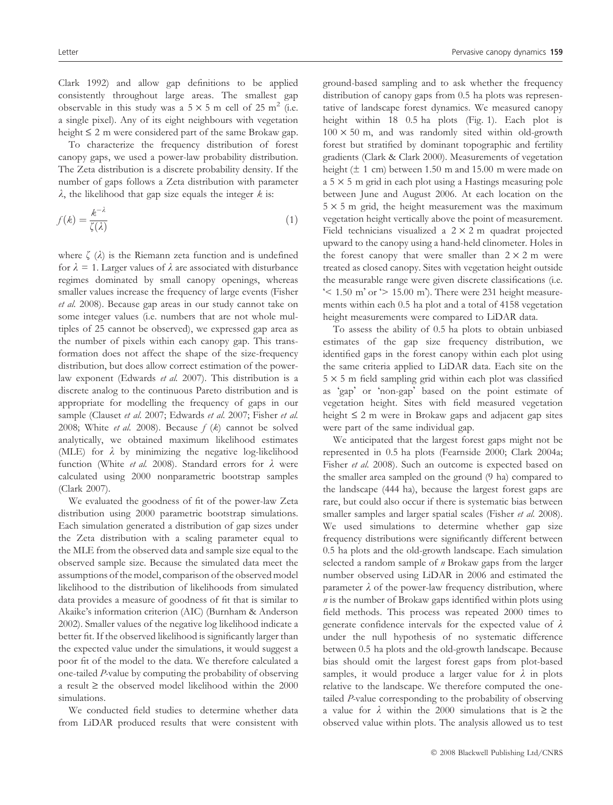Clark 1992) and allow gap definitions to be applied consistently throughout large areas. The smallest gap observable in this study was a  $5 \times 5$  m cell of 25 m<sup>2</sup> (i.e. a single pixel). Any of its eight neighbours with vegetation height  $\leq 2$  m were considered part of the same Brokaw gap.

To characterize the frequency distribution of forest canopy gaps, we used a power-law probability distribution. The Zeta distribution is a discrete probability density. If the number of gaps follows a Zeta distribution with parameter  $\lambda$ , the likelihood that gap size equals the integer  $k$  is:

$$
f(k) = \frac{k^{-\lambda}}{\zeta(\lambda)}\tag{1}
$$

where  $\zeta(\lambda)$  is the Riemann zeta function and is undefined for  $\lambda = 1$ . Larger values of  $\lambda$  are associated with disturbance regimes dominated by small canopy openings, whereas smaller values increase the frequency of large events (Fisher et al. 2008). Because gap areas in our study cannot take on some integer values (i.e. numbers that are not whole multiples of 25 cannot be observed), we expressed gap area as the number of pixels within each canopy gap. This transformation does not affect the shape of the size-frequency distribution, but does allow correct estimation of the powerlaw exponent (Edwards et al. 2007). This distribution is a discrete analog to the continuous Pareto distribution and is appropriate for modelling the frequency of gaps in our sample (Clauset et al. 2007; Edwards et al. 2007; Fisher et al. 2008; White et al. 2008). Because  $f (k)$  cannot be solved analytically, we obtained maximum likelihood estimates (MLE) for  $\lambda$  by minimizing the negative log-likelihood function (White et al. 2008). Standard errors for  $\lambda$  were calculated using 2000 nonparametric bootstrap samples (Clark 2007).

We evaluated the goodness of fit of the power-law Zeta distribution using 2000 parametric bootstrap simulations. Each simulation generated a distribution of gap sizes under the Zeta distribution with a scaling parameter equal to the MLE from the observed data and sample size equal to the observed sample size. Because the simulated data meet the assumptions of the model, comparison of the observed model likelihood to the distribution of likelihoods from simulated data provides a measure of goodness of fit that is similar to Akaike's information criterion (AIC) (Burnham & Anderson 2002). Smaller values of the negative log likelihood indicate a better fit. If the observed likelihood is significantly larger than the expected value under the simulations, it would suggest a poor fit of the model to the data. We therefore calculated a one-tailed P-value by computing the probability of observing a result  $\ge$  the observed model likelihood within the 2000 simulations.

We conducted field studies to determine whether data from LiDAR produced results that were consistent with ground-based sampling and to ask whether the frequency distribution of canopy gaps from 0.5 ha plots was representative of landscape forest dynamics. We measured canopy height within 18 0.5 ha plots (Fig. 1). Each plot is  $100 \times 50$  m, and was randomly sited within old-growth forest but stratified by dominant topographic and fertility gradients (Clark & Clark 2000). Measurements of vegetation height ( $\pm$  1 cm) between 1.50 m and 15.00 m were made on  $a$  5  $\times$  5 m grid in each plot using a Hastings measuring pole between June and August 2006. At each location on the  $5 \times 5$  m grid, the height measurement was the maximum vegetation height vertically above the point of measurement. Field technicians visualized a  $2 \times 2$  m quadrat projected upward to the canopy using a hand-held clinometer. Holes in the forest canopy that were smaller than  $2 \times 2$  m were treated as closed canopy. Sites with vegetation height outside the measurable range were given discrete classifications (i.e.  $\leq$  1.50 m' or  $\geq$  15.00 m'). There were 231 height measurements within each 0.5 ha plot and a total of 4158 vegetation height measurements were compared to LiDAR data.

To assess the ability of 0.5 ha plots to obtain unbiased estimates of the gap size frequency distribution, we identified gaps in the forest canopy within each plot using the same criteria applied to LiDAR data. Each site on the  $5 \times 5$  m field sampling grid within each plot was classified as 'gap' or 'non-gap' based on the point estimate of vegetation height. Sites with field measured vegetation height  $\leq 2$  m were in Brokaw gaps and adjacent gap sites were part of the same individual gap.

We anticipated that the largest forest gaps might not be represented in 0.5 ha plots (Fearnside 2000; Clark 2004a; Fisher et al. 2008). Such an outcome is expected based on the smaller area sampled on the ground (9 ha) compared to the landscape (444 ha), because the largest forest gaps are rare, but could also occur if there is systematic bias between smaller samples and larger spatial scales (Fisher et al. 2008). We used simulations to determine whether gap size frequency distributions were significantly different between 0.5 ha plots and the old-growth landscape. Each simulation selected a random sample of *n* Brokaw gaps from the larger number observed using LiDAR in 2006 and estimated the parameter  $\lambda$  of the power-law frequency distribution, where  $n$  is the number of Brokaw gaps identified within plots using field methods. This process was repeated 2000 times to generate confidence intervals for the expected value of  $\lambda$ under the null hypothesis of no systematic difference between 0.5 ha plots and the old-growth landscape. Because bias should omit the largest forest gaps from plot-based samples, it would produce a larger value for  $\lambda$  in plots relative to the landscape. We therefore computed the onetailed P-value corresponding to the probability of observing a value for  $\lambda$  within the 2000 simulations that is  $\geq$  the observed value within plots. The analysis allowed us to test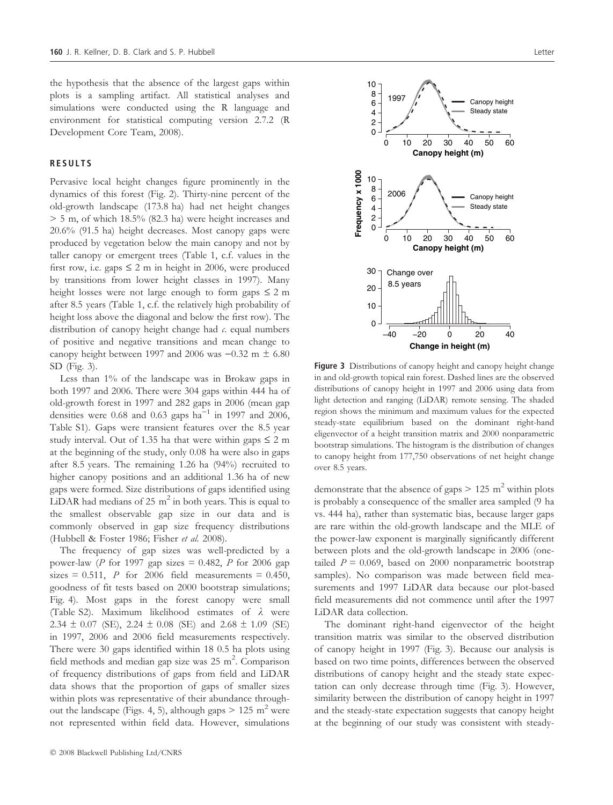the hypothesis that the absence of the largest gaps within plots is a sampling artifact. All statistical analyses and simulations were conducted using the R language and environment for statistical computing version 2.7.2 (R Development Core Team, 2008).

#### RESULTS

Pervasive local height changes figure prominently in the dynamics of this forest (Fig. 2). Thirty-nine percent of the old-growth landscape (173.8 ha) had net height changes > 5 m, of which 18.5% (82.3 ha) were height increases and 20.6% (91.5 ha) height decreases. Most canopy gaps were produced by vegetation below the main canopy and not by taller canopy or emergent trees (Table 1, c.f. values in the first row, i.e. gaps  $\leq 2$  m in height in 2006, were produced by transitions from lower height classes in 1997). Many height losses were not large enough to form gaps  $\leq 2$  m after 8.5 years (Table 1, c.f. the relatively high probability of height loss above the diagonal and below the first row). The distribution of canopy height change had  $c$ . equal numbers of positive and negative transitions and mean change to canopy height between 1997 and 2006 was  $-0.32$  m  $\pm$  6.80 SD (Fig. 3).

Less than 1% of the landscape was in Brokaw gaps in both 1997 and 2006. There were 304 gaps within 444 ha of old-growth forest in 1997 and 282 gaps in 2006 (mean gap densities were 0.68 and 0.63 gaps  $ha^{-1}$  in 1997 and 2006, Table S1). Gaps were transient features over the 8.5 year study interval. Out of 1.35 ha that were within gaps  $\leq 2$  m at the beginning of the study, only 0.08 ha were also in gaps after 8.5 years. The remaining 1.26 ha (94%) recruited to higher canopy positions and an additional 1.36 ha of new gaps were formed. Size distributions of gaps identified using LiDAR had medians of 25  $m<sup>2</sup>$  in both years. This is equal to the smallest observable gap size in our data and is commonly observed in gap size frequency distributions (Hubbell & Foster 1986; Fisher et al. 2008).

The frequency of gap sizes was well-predicted by a power-law (P for 1997 gap sizes  $= 0.482$ , P for 2006 gap sizes = 0.511, P for 2006 field measurements = 0.450, goodness of fit tests based on 2000 bootstrap simulations; Fig. 4). Most gaps in the forest canopy were small (Table S2). Maximum likelihood estimates of  $\lambda$  were 2.34  $\pm$  0.07 (SE), 2.24  $\pm$  0.08 (SE) and 2.68  $\pm$  1.09 (SE) in 1997, 2006 and 2006 field measurements respectively. There were 30 gaps identified within 18 0.5 ha plots using field methods and median gap size was  $25 \text{ m}^2$ . Comparison of frequency distributions of gaps from field and LiDAR data shows that the proportion of gaps of smaller sizes within plots was representative of their abundance throughout the landscape (Figs. 4, 5), although gaps  $> 125$  m<sup>2</sup> were not represented within field data. However, simulations



Figure 3 Distributions of canopy height and canopy height change in and old-growth topical rain forest. Dashed lines are the observed distributions of canopy height in 1997 and 2006 using data from light detection and ranging (LiDAR) remote sensing. The shaded region shows the minimum and maximum values for the expected steady-state equilibrium based on the dominant right-hand eligenvector of a height transition matrix and 2000 nonparametric bootstrap simulations. The histogram is the distribution of changes to canopy height from 177,750 observations of net height change over 8.5 years.

demonstrate that the absence of gaps  $> 125 \text{ m}^2$  within plots is probably a consequence of the smaller area sampled (9 ha vs. 444 ha), rather than systematic bias, because larger gaps are rare within the old-growth landscape and the MLE of the power-law exponent is marginally significantly different between plots and the old-growth landscape in 2006 (onetailed  $P = 0.069$ , based on 2000 nonparametric bootstrap samples). No comparison was made between field measurements and 1997 LiDAR data because our plot-based field measurements did not commence until after the 1997 LiDAR data collection.

The dominant right-hand eigenvector of the height transition matrix was similar to the observed distribution of canopy height in 1997 (Fig. 3). Because our analysis is based on two time points, differences between the observed distributions of canopy height and the steady state expectation can only decrease through time (Fig. 3). However, similarity between the distribution of canopy height in 1997 and the steady-state expectation suggests that canopy height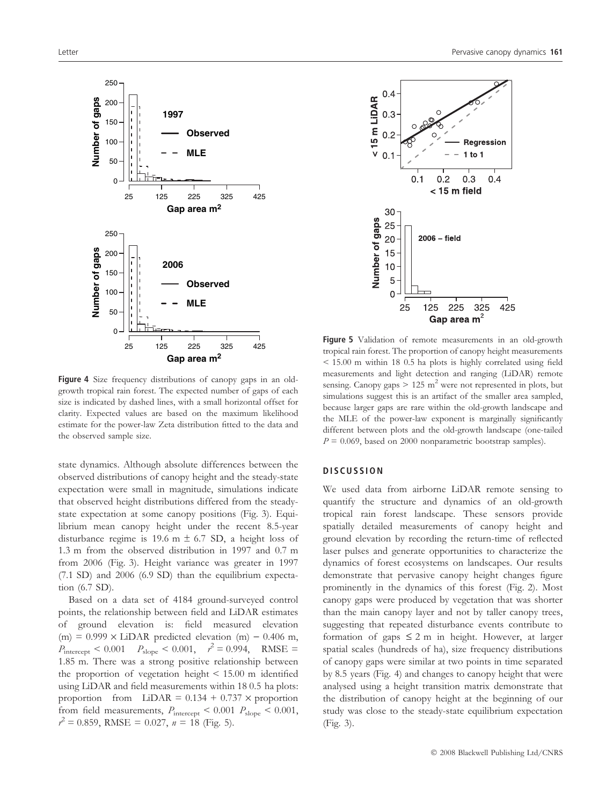



Figure 4 Size frequency distributions of canopy gaps in an oldgrowth tropical rain forest. The expected number of gaps of each size is indicated by dashed lines, with a small horizontal offset for clarity. Expected values are based on the maximum likelihood estimate for the power-law Zeta distribution fitted to the data and the observed sample size.

state dynamics. Although absolute differences between the observed distributions of canopy height and the steady-state expectation were small in magnitude, simulations indicate that observed height distributions differed from the steadystate expectation at some canopy positions (Fig. 3). Equilibrium mean canopy height under the recent 8.5-year disturbance regime is 19.6 m  $\pm$  6.7 SD, a height loss of 1.3 m from the observed distribution in 1997 and 0.7 m from 2006 (Fig. 3). Height variance was greater in 1997 (7.1 SD) and 2006 (6.9 SD) than the equilibrium expectation (6.7 SD).

Based on a data set of 4184 ground-surveyed control points, the relationship between field and LiDAR estimates of ground elevation is: field measured elevation (m) =  $0.999 \times$  LiDAR predicted elevation (m) - 0.406 m,  $P_{\text{intercept}}$  < 0.001  $P_{\text{slope}}$  < 0.001,  $r^2 = 0.994$ , RMSE = 1.85 m. There was a strong positive relationship between the proportion of vegetation height < 15.00 m identified using LiDAR and field measurements within 18 0.5 ha plots: proportion from  $LiDAR = 0.134 + 0.737 \times$  proportion from field measurements,  $P_{\text{intercept}} < 0.001 P_{\text{slope}} < 0.001$ ,  $r^2 = 0.859$ , RMSE = 0.027,  $n = 18$  (Fig. 5).



Figure 5 Validation of remote measurements in an old-growth tropical rain forest. The proportion of canopy height measurements < 15.00 m within 18 0.5 ha plots is highly correlated using field measurements and light detection and ranging (LiDAR) remote sensing. Canopy gaps  $> 125$  m<sup>2</sup> were not represented in plots, but simulations suggest this is an artifact of the smaller area sampled, because larger gaps are rare within the old-growth landscape and the MLE of the power-law exponent is marginally significantly different between plots and the old-growth landscape (one-tailed  $P = 0.069$ , based on 2000 nonparametric bootstrap samples).

#### **DISCUSSION**

We used data from airborne LiDAR remote sensing to quantify the structure and dynamics of an old-growth tropical rain forest landscape. These sensors provide spatially detailed measurements of canopy height and ground elevation by recording the return-time of reflected laser pulses and generate opportunities to characterize the dynamics of forest ecosystems on landscapes. Our results demonstrate that pervasive canopy height changes figure prominently in the dynamics of this forest (Fig. 2). Most canopy gaps were produced by vegetation that was shorter than the main canopy layer and not by taller canopy trees, suggesting that repeated disturbance events contribute to formation of gaps  $\leq 2$  m in height. However, at larger spatial scales (hundreds of ha), size frequency distributions of canopy gaps were similar at two points in time separated by 8.5 years (Fig. 4) and changes to canopy height that were analysed using a height transition matrix demonstrate that the distribution of canopy height at the beginning of our study was close to the steady-state equilibrium expectation (Fig. 3).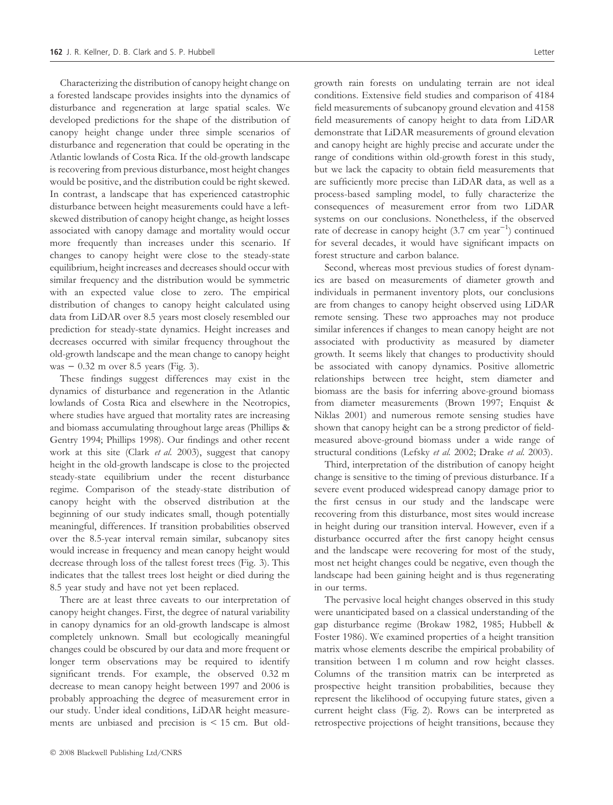Characterizing the distribution of canopy height change on a forested landscape provides insights into the dynamics of disturbance and regeneration at large spatial scales. We developed predictions for the shape of the distribution of canopy height change under three simple scenarios of disturbance and regeneration that could be operating in the Atlantic lowlands of Costa Rica. If the old-growth landscape is recovering from previous disturbance, most height changes would be positive, and the distribution could be right skewed. In contrast, a landscape that has experienced catastrophic disturbance between height measurements could have a leftskewed distribution of canopy height change, as height losses associated with canopy damage and mortality would occur more frequently than increases under this scenario. If changes to canopy height were close to the steady-state equilibrium, height increases and decreases should occur with similar frequency and the distribution would be symmetric with an expected value close to zero. The empirical distribution of changes to canopy height calculated using data from LiDAR over 8.5 years most closely resembled our prediction for steady-state dynamics. Height increases and decreases occurred with similar frequency throughout the old-growth landscape and the mean change to canopy height was  $-0.32$  m over 8.5 years (Fig. 3).

These findings suggest differences may exist in the dynamics of disturbance and regeneration in the Atlantic lowlands of Costa Rica and elsewhere in the Neotropics, where studies have argued that mortality rates are increasing and biomass accumulating throughout large areas (Phillips & Gentry 1994; Phillips 1998). Our findings and other recent work at this site (Clark et al. 2003), suggest that canopy height in the old-growth landscape is close to the projected steady-state equilibrium under the recent disturbance regime. Comparison of the steady-state distribution of canopy height with the observed distribution at the beginning of our study indicates small, though potentially meaningful, differences. If transition probabilities observed over the 8.5-year interval remain similar, subcanopy sites would increase in frequency and mean canopy height would decrease through loss of the tallest forest trees (Fig. 3). This indicates that the tallest trees lost height or died during the 8.5 year study and have not yet been replaced.

There are at least three caveats to our interpretation of canopy height changes. First, the degree of natural variability in canopy dynamics for an old-growth landscape is almost completely unknown. Small but ecologically meaningful changes could be obscured by our data and more frequent or longer term observations may be required to identify significant trends. For example, the observed 0.32 m decrease to mean canopy height between 1997 and 2006 is probably approaching the degree of measurement error in our study. Under ideal conditions, LiDAR height measurements are unbiased and precision is < 15 cm. But oldgrowth rain forests on undulating terrain are not ideal conditions. Extensive field studies and comparison of 4184 field measurements of subcanopy ground elevation and 4158 field measurements of canopy height to data from LiDAR demonstrate that LiDAR measurements of ground elevation and canopy height are highly precise and accurate under the range of conditions within old-growth forest in this study, but we lack the capacity to obtain field measurements that are sufficiently more precise than LiDAR data, as well as a process-based sampling model, to fully characterize the consequences of measurement error from two LiDAR systems on our conclusions. Nonetheless, if the observed rate of decrease in canopy height  $(3.7 \text{ cm year}^{-1})$  continued for several decades, it would have significant impacts on forest structure and carbon balance.

Second, whereas most previous studies of forest dynamics are based on measurements of diameter growth and individuals in permanent inventory plots, our conclusions are from changes to canopy height observed using LiDAR remote sensing. These two approaches may not produce similar inferences if changes to mean canopy height are not associated with productivity as measured by diameter growth. It seems likely that changes to productivity should be associated with canopy dynamics. Positive allometric relationships between tree height, stem diameter and biomass are the basis for inferring above-ground biomass from diameter measurements (Brown 1997; Enquist & Niklas 2001) and numerous remote sensing studies have shown that canopy height can be a strong predictor of fieldmeasured above-ground biomass under a wide range of structural conditions (Lefsky et al. 2002; Drake et al. 2003).

Third, interpretation of the distribution of canopy height change is sensitive to the timing of previous disturbance. If a severe event produced widespread canopy damage prior to the first census in our study and the landscape were recovering from this disturbance, most sites would increase in height during our transition interval. However, even if a disturbance occurred after the first canopy height census and the landscape were recovering for most of the study, most net height changes could be negative, even though the landscape had been gaining height and is thus regenerating in our terms.

The pervasive local height changes observed in this study were unanticipated based on a classical understanding of the gap disturbance regime (Brokaw 1982, 1985; Hubbell & Foster 1986). We examined properties of a height transition matrix whose elements describe the empirical probability of transition between 1 m column and row height classes. Columns of the transition matrix can be interpreted as prospective height transition probabilities, because they represent the likelihood of occupying future states, given a current height class (Fig. 2). Rows can be interpreted as retrospective projections of height transitions, because they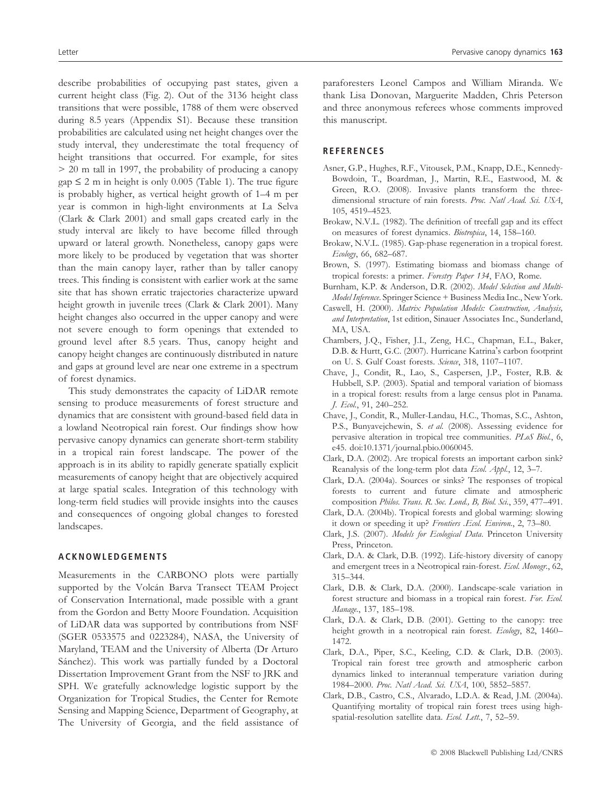describe probabilities of occupying past states, given a current height class (Fig. 2). Out of the 3136 height class transitions that were possible, 1788 of them were observed during 8.5 years (Appendix S1). Because these transition probabilities are calculated using net height changes over the study interval, they underestimate the total frequency of height transitions that occurred. For example, for sites > 20 m tall in 1997, the probability of producing a canopy  $gap \leq 2$  m in height is only 0.005 (Table 1). The true figure is probably higher, as vertical height growth of 1–4 m per year is common in high-light environments at La Selva (Clark & Clark 2001) and small gaps created early in the study interval are likely to have become filled through upward or lateral growth. Nonetheless, canopy gaps were more likely to be produced by vegetation that was shorter than the main canopy layer, rather than by taller canopy trees. This finding is consistent with earlier work at the same site that has shown erratic trajectories characterize upward height growth in juvenile trees (Clark & Clark 2001). Many height changes also occurred in the upper canopy and were not severe enough to form openings that extended to ground level after 8.5 years. Thus, canopy height and canopy height changes are continuously distributed in nature and gaps at ground level are near one extreme in a spectrum of forest dynamics.

This study demonstrates the capacity of LiDAR remote sensing to produce measurements of forest structure and dynamics that are consistent with ground-based field data in a lowland Neotropical rain forest. Our findings show how pervasive canopy dynamics can generate short-term stability in a tropical rain forest landscape. The power of the approach is in its ability to rapidly generate spatially explicit measurements of canopy height that are objectively acquired at large spatial scales. Integration of this technology with long-term field studies will provide insights into the causes and consequences of ongoing global changes to forested landscapes.

### ACKNOWLEDGEMENTS

Measurements in the CARBONO plots were partially supported by the Volcán Barva Transect TEAM Project of Conservation International, made possible with a grant from the Gordon and Betty Moore Foundation. Acquisition of LiDAR data was supported by contributions from NSF (SGER 0533575 and 0223284), NASA, the University of Maryland, TEAM and the University of Alberta (Dr Arturo Sánchez). This work was partially funded by a Doctoral Dissertation Improvement Grant from the NSF to JRK and SPH. We gratefully acknowledge logistic support by the Organization for Tropical Studies, the Center for Remote Sensing and Mapping Science, Department of Geography, at The University of Georgia, and the field assistance of paraforesters Leonel Campos and William Miranda. We thank Lisa Donovan, Marguerite Madden, Chris Peterson and three anonymous referees whose comments improved this manuscript.

#### **REFERENCES**

- Asner, G.P., Hughes, R.F., Vitousek, P.M., Knapp, D.E., Kennedy-Bowdoin, T., Boardman, J., Martin, R.E., Eastwood, M. & Green, R.O. (2008). Invasive plants transform the threedimensional structure of rain forests. Proc. Natl Acad. Sci. USA, 105, 4519–4523.
- Brokaw, N.V.L. (1982). The definition of treefall gap and its effect on measures of forest dynamics. Biotropica, 14, 158–160.
- Brokaw, N.V.L. (1985). Gap-phase regeneration in a tropical forest. Ecology, 66, 682–687.
- Brown, S. (1997). Estimating biomass and biomass change of tropical forests: a primer. Forestry Paper 134, FAO, Rome.
- Burnham, K.P. & Anderson, D.R. (2002). Model Selection and Multi-Model Inference. Springer Science + Business Media Inc., New York.
- Caswell, H. (2000). Matrix Population Models: Construction, Analysis, and Interpretation, 1st edition, Sinauer Associates Inc., Sunderland, MA, USA.
- Chambers, J.Q., Fisher, J.I., Zeng, H.C., Chapman, E.L., Baker, D.B. & Hurtt, G.C. (2007). Hurricane Katrina's carbon footprint on U. S. Gulf Coast forests. Science, 318, 1107–1107.
- Chave, J., Condit, R., Lao, S., Caspersen, J.P., Foster, R.B. & Hubbell, S.P. (2003). Spatial and temporal variation of biomass in a tropical forest: results from a large census plot in Panama. J. Ecol., 91, 240–252.
- Chave, J., Condit, R., Muller-Landau, H.C., Thomas, S.C., Ashton, P.S., Bunyavejchewin, S. et al. (2008). Assessing evidence for pervasive alteration in tropical tree communities. PLoS Biol., 6, e45. doi:10.1371/journal.pbio.0060045.
- Clark, D.A. (2002). Are tropical forests an important carbon sink? Reanalysis of the long-term plot data Ecol. Appl., 12, 3-7.
- Clark, D.A. (2004a). Sources or sinks? The responses of tropical forests to current and future climate and atmospheric composition Philos. Trans. R. Soc. Lond., B, Biol. Sci., 359, 477–491.
- Clark, D.A. (2004b). Tropical forests and global warming: slowing it down or speeding it up? Frontiers .Ecol. Environ., 2, 73–80.
- Clark, J.S. (2007). Models for Ecological Data. Princeton University Press, Princeton.
- Clark, D.A. & Clark, D.B. (1992). Life-history diversity of canopy and emergent trees in a Neotropical rain-forest. Ecol. Monogr., 62, 315–344.
- Clark, D.B. & Clark, D.A. (2000). Landscape-scale variation in forest structure and biomass in a tropical rain forest. For. Ecol. Manage., 137, 185–198.
- Clark, D.A. & Clark, D.B. (2001). Getting to the canopy: tree height growth in a neotropical rain forest. Ecology, 82, 1460-1472.
- Clark, D.A., Piper, S.C., Keeling, C.D. & Clark, D.B. (2003). Tropical rain forest tree growth and atmospheric carbon dynamics linked to interannual temperature variation during 1984–2000. Proc. Natl Acad. Sci. USA, 100, 5852–5857.
- Clark, D.B., Castro, C.S., Alvarado, L.D.A. & Read, J.M. (2004a). Quantifying mortality of tropical rain forest trees using highspatial-resolution satellite data. Ecol. Lett., 7, 52-59.